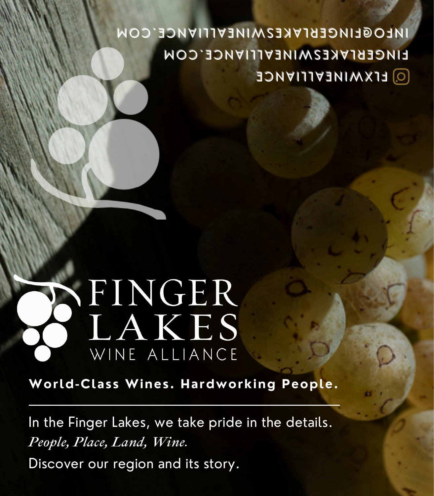## **EINGEBIVKESMINEVILIVNGE CON INLOGLINCEBIVKE2MINEVIIIVNCE** CON **Q** ELXWINEALLIANCE

## SFINGER LAKES WINE ALLIANCE

**World-Class Wines. Hardworking People.**

In the Finger Lakes, we take pride in the details. *People, Place, Land, Wine.* Discover our region and its story.